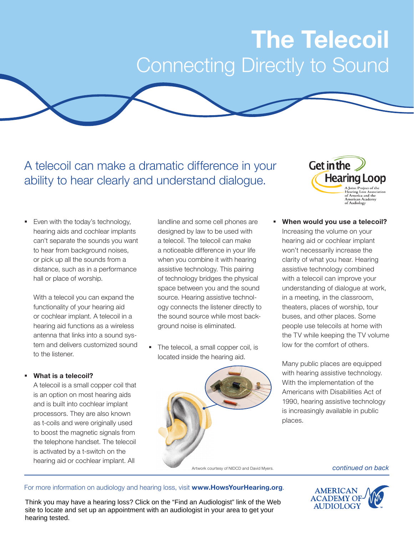# **The Telecoil** Connecting Directly to Sound

A telecoil can make a dramatic difference in your ability to hear clearly and understand dialogue.

Even with the today's technology, hearing aids and cochlear implants can't separate the sounds you want to hear from background noises, or pick up all the sounds from a distance, such as in a performance hall or place of worship.

With a telecoil you can expand the functionality of your hearing aid or cochlear implant. A telecoil in a hearing aid functions as a wireless antenna that links into a sound system and delivers customized sound to the listener.

#### **What is a telecoil?**

A telecoil is a small copper coil that is an option on most hearing aids and is built into cochlear implant processors. They are also known as t-coils and were originally used to boost the magnetic signals from the telephone handset. The telecoil is activated by a t-switch on the hearing aid or cochlear implant. All

landline and some cell phones are designed by law to be used with a telecoil. The telecoil can make a noticeable difference in your life when you combine it with hearing assistive technology. This pairing of technology bridges the physical space between you and the sound source. Hearing assistive technology connects the listener directly to the sound source while most background noise is eliminated.

 The telecoil, a small copper coil, is located inside the hearing aid.





 **When would you use a telecoil?** Increasing the volume on your hearing aid or cochlear implant won't necessarily increase the clarity of what you hear. Hearing assistive technology combined with a telecoil can improve your understanding of dialogue at work, in a meeting, in the classroom, theaters, places of worship, tour buses, and other places. Some people use telecoils at home with the TV while keeping the TV volume low for the comfort of others.

Many public places are equipped with hearing assistive technology. With the implementation of the Americans with Disabilities Act of 1990, hearing assistive technology is increasingly available in public places.

#### For more information on audiology and hearing loss, visit **www.HowsYourHearing.org**.



Think you may have a hearing loss? Click on the "Find an Audiologist" link of the Web site to locate and set up an appointment with an audiologist in your area to get your hearing tested.